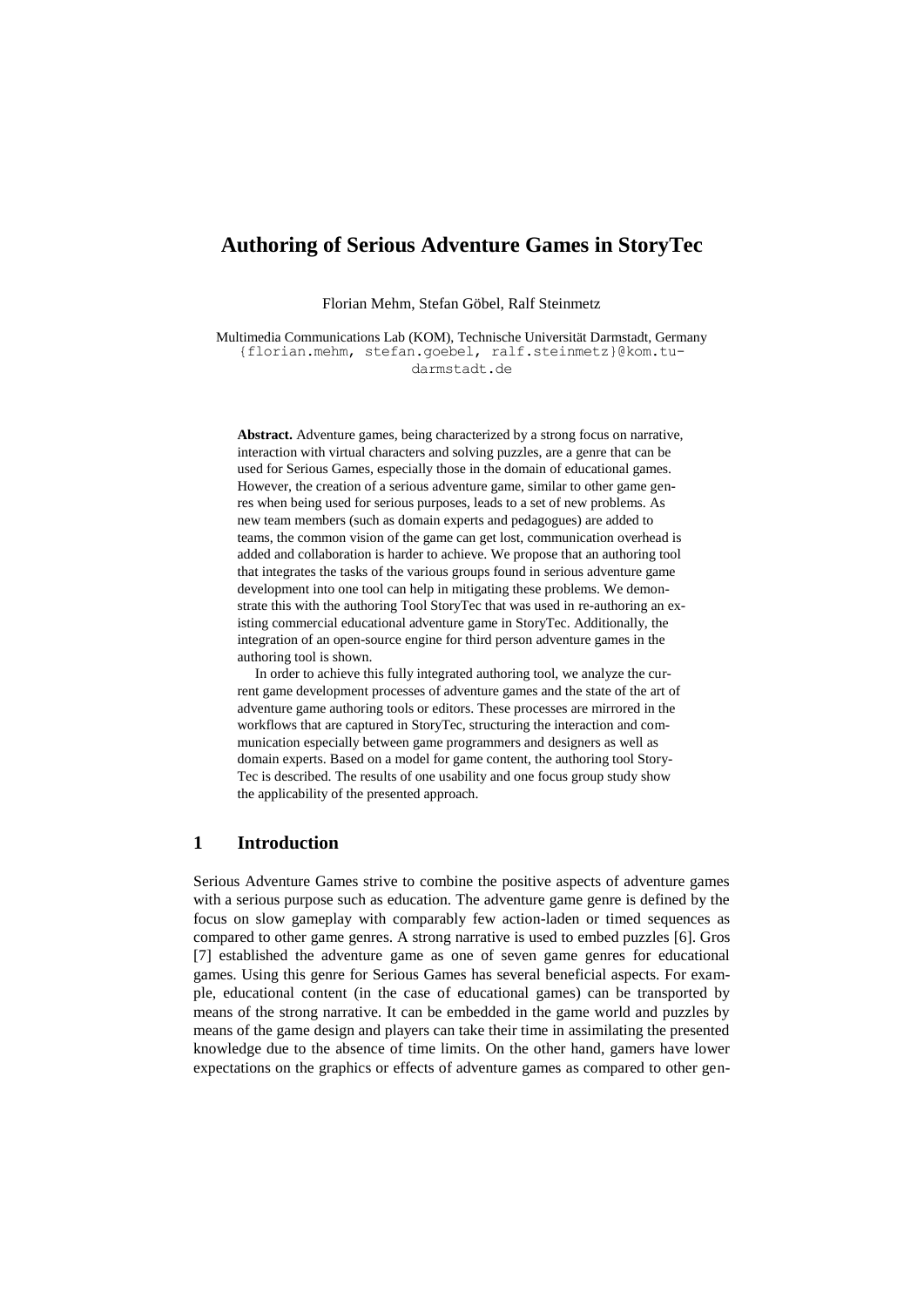# **Authoring of Serious Adventure Games in StoryTec**

Florian Mehm, Stefan Göbel, Ralf Steinmetz

Multimedia Communications Lab (KOM), Technische Universität Darmstadt, Germany {florian.mehm, stefan.goebel, [ralf.steinmetz}@kom.tu](mailto:ralf.steinmetz%7d@kom.tu-darmstadt.de)[darmstadt.de](mailto:ralf.steinmetz%7d@kom.tu-darmstadt.de)

**Abstract.** Adventure games, being characterized by a strong focus on narrative, interaction with virtual characters and solving puzzles, are a genre that can be used for Serious Games, especially those in the domain of educational games. However, the creation of a serious adventure game, similar to other game genres when being used for serious purposes, leads to a set of new problems. As new team members (such as domain experts and pedagogues) are added to teams, the common vision of the game can get lost, communication overhead is added and collaboration is harder to achieve. We propose that an authoring tool that integrates the tasks of the various groups found in serious adventure game development into one tool can help in mitigating these problems. We demonstrate this with the authoring Tool StoryTec that was used in re-authoring an existing commercial educational adventure game in StoryTec. Additionally, the integration of an open-source engine for third person adventure games in the authoring tool is shown.

In order to achieve this fully integrated authoring tool, we analyze the current game development processes of adventure games and the state of the art of adventure game authoring tools or editors. These processes are mirrored in the workflows that are captured in StoryTec, structuring the interaction and communication especially between game programmers and designers as well as domain experts. Based on a model for game content, the authoring tool Story-Tec is described. The results of one usability and one focus group study show the applicability of the presented approach.

### **1 Introduction**

Serious Adventure Games strive to combine the positive aspects of adventure games with a serious purpose such as education. The adventure game genre is defined by the focus on slow gameplay with comparably few action-laden or timed sequences as compared to other game genres. A strong narrative is used to embed puzzles [6]. Gros [7] established the adventure game as one of seven game genres for educational games. Using this genre for Serious Games has several beneficial aspects. For example, educational content (in the case of educational games) can be transported by means of the strong narrative. It can be embedded in the game world and puzzles by means of the game design and players can take their time in assimilating the presented knowledge due to the absence of time limits. On the other hand, gamers have lower expectations on the graphics or effects of adventure games as compared to other gen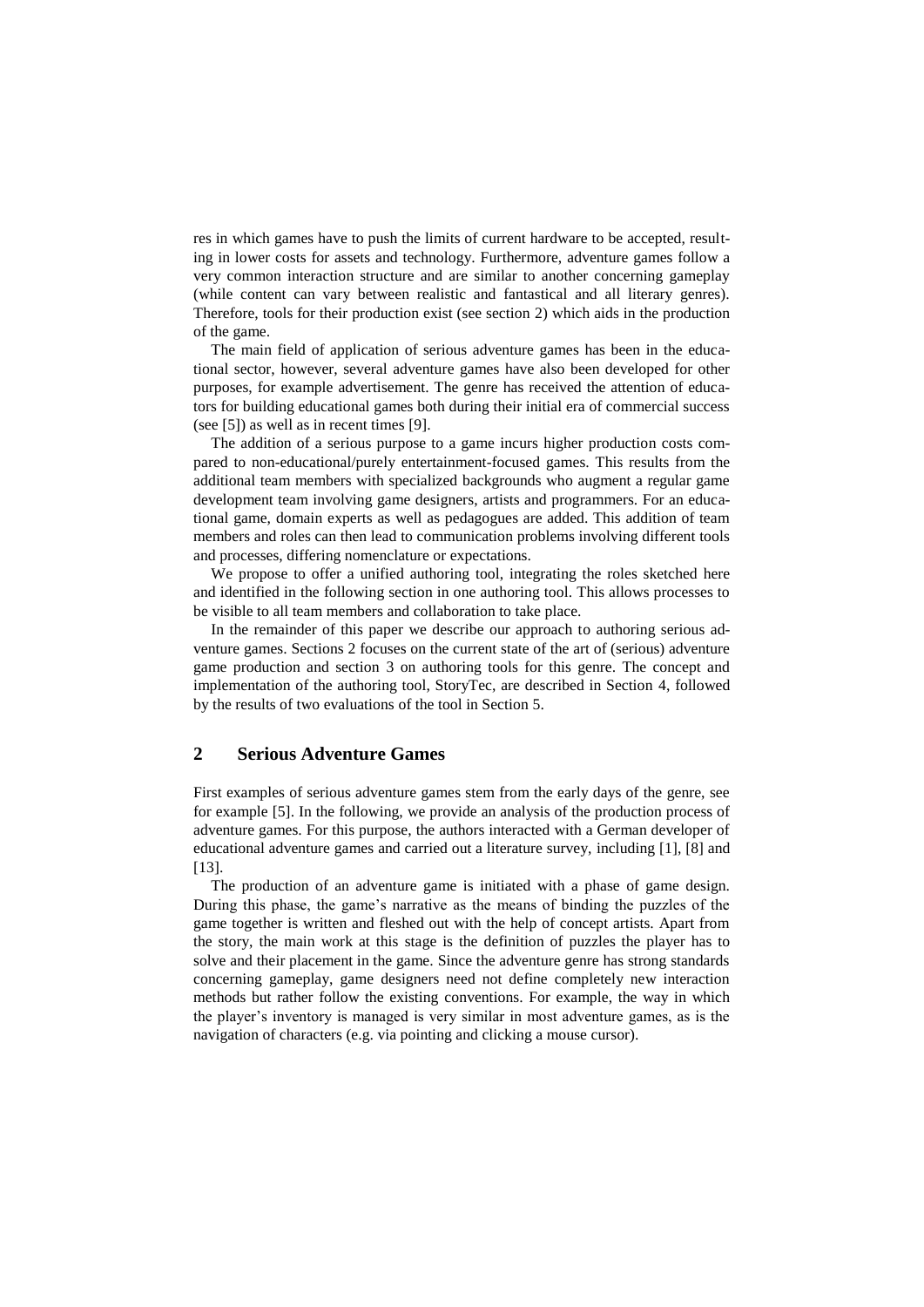res in which games have to push the limits of current hardware to be accepted, resulting in lower costs for assets and technology. Furthermore, adventure games follow a very common interaction structure and are similar to another concerning gameplay (while content can vary between realistic and fantastical and all literary genres). Therefore, tools for their production exist (see section [2\)](#page-1-0) which aids in the production of the game.

The main field of application of serious adventure games has been in the educational sector, however, several adventure games have also been developed for other purposes, for example advertisement. The genre has received the attention of educators for building educational games both during their initial era of commercial success (see [5]) as well as in recent times [9].

The addition of a serious purpose to a game incurs higher production costs compared to non-educational/purely entertainment-focused games. This results from the additional team members with specialized backgrounds who augment a regular game development team involving game designers, artists and programmers. For an educational game, domain experts as well as pedagogues are added. This addition of team members and roles can then lead to communication problems involving different tools and processes, differing nomenclature or expectations.

We propose to offer a unified authoring tool, integrating the roles sketched here and identified in the following section in one authoring tool. This allows processes to be visible to all team members and collaboration to take place.

In the remainder of this paper we describe our approach to authoring serious adventure games. Sections [2](#page-1-0) focuses on the current state of the art of (serious) adventure game production and section [3](#page-2-0) on authoring tools for this genre. The concept and implementation of the authoring tool, StoryTec, are described in Section [4,](#page-3-0) followed by the results of two evaluations of the tool in Section [5.](#page-7-0)

## <span id="page-1-0"></span>**2 Serious Adventure Games**

First examples of serious adventure games stem from the early days of the genre, see for example [5]. In the following, we provide an analysis of the production process of adventure games. For this purpose, the authors interacted with a German developer of educational adventure games and carried out a literature survey, including [1], [8] and [13].

The production of an adventure game is initiated with a phase of game design. During this phase, the game's narrative as the means of binding the puzzles of the game together is written and fleshed out with the help of concept artists. Apart from the story, the main work at this stage is the definition of puzzles the player has to solve and their placement in the game. Since the adventure genre has strong standards concerning gameplay, game designers need not define completely new interaction methods but rather follow the existing conventions. For example, the way in which the player's inventory is managed is very similar in most adventure games, as is the navigation of characters (e.g. via pointing and clicking a mouse cursor).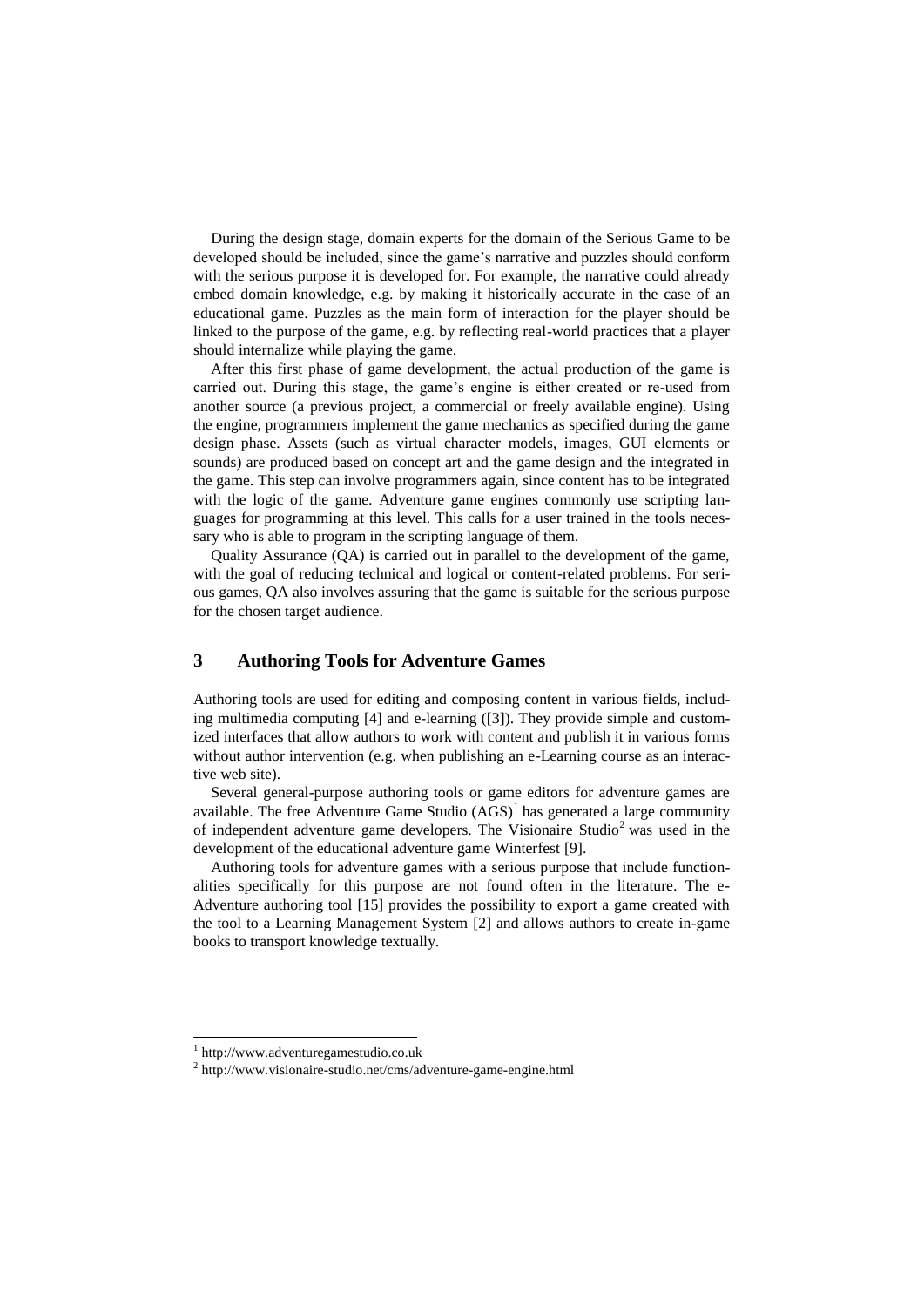During the design stage, domain experts for the domain of the Serious Game to be developed should be included, since the game's narrative and puzzles should conform with the serious purpose it is developed for. For example, the narrative could already embed domain knowledge, e.g. by making it historically accurate in the case of an educational game. Puzzles as the main form of interaction for the player should be linked to the purpose of the game, e.g. by reflecting real-world practices that a player should internalize while playing the game.

After this first phase of game development, the actual production of the game is carried out. During this stage, the game's engine is either created or re-used from another source (a previous project, a commercial or freely available engine). Using the engine, programmers implement the game mechanics as specified during the game design phase. Assets (such as virtual character models, images, GUI elements or sounds) are produced based on concept art and the game design and the integrated in the game. This step can involve programmers again, since content has to be integrated with the logic of the game. Adventure game engines commonly use scripting languages for programming at this level. This calls for a user trained in the tools necessary who is able to program in the scripting language of them.

Quality Assurance (QA) is carried out in parallel to the development of the game, with the goal of reducing technical and logical or content-related problems. For serious games, QA also involves assuring that the game is suitable for the serious purpose for the chosen target audience.

# <span id="page-2-0"></span>**3 Authoring Tools for Adventure Games**

Authoring tools are used for editing and composing content in various fields, including multimedia computing [4] and e-learning ([3]). They provide simple and customized interfaces that allow authors to work with content and publish it in various forms without author intervention (e.g. when publishing an e-Learning course as an interactive web site).

Several general-purpose authoring tools or game editors for adventure games are available. The free Adventure Game Studio  $(AGS)^1$  has generated a large community of independent adventure game developers. The Visionaire Studio<sup>2</sup> was used in the development of the educational adventure game Winterfest [9].

Authoring tools for adventure games with a serious purpose that include functionalities specifically for this purpose are not found often in the literature. The e-Adventure authoring tool [15] provides the possibility to export a game created with the tool to a Learning Management System [2] and allows authors to create in-game books to transport knowledge textually.

 $\overline{\phantom{a}}$ 

<sup>1</sup> http://www.adventuregamestudio.co.uk

<sup>&</sup>lt;sup>2</sup> http://www.visionaire-studio.net/cms/adventure-game-engine.html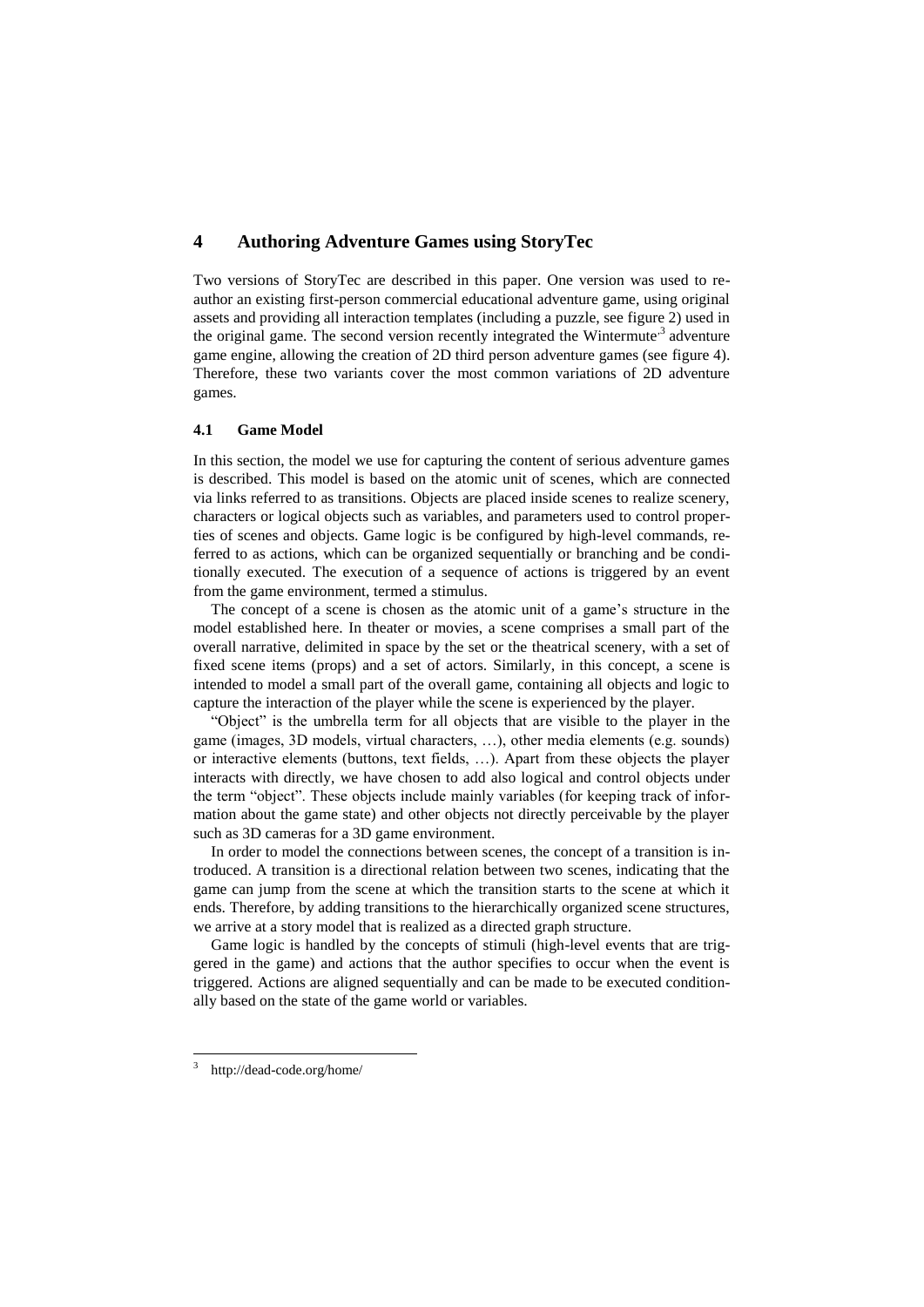### <span id="page-3-0"></span>**4 Authoring Adventure Games using StoryTec**

Two versions of StoryTec are described in this paper. One version was used to reauthor an existing first-person commercial educational adventure game, using original assets and providing all interaction templates (including a puzzle, see figure 2) used in the original game. The second version recently integrated the Wintermute<sup>3</sup> adventure game engine, allowing the creation of 2D third person adventure games (see figure 4). Therefore, these two variants cover the most common variations of 2D adventure games.

#### **4.1 Game Model**

In this section, the model we use for capturing the content of serious adventure games is described. This model is based on the atomic unit of scenes, which are connected via links referred to as transitions. Objects are placed inside scenes to realize scenery, characters or logical objects such as variables, and parameters used to control properties of scenes and objects. Game logic is be configured by high-level commands, referred to as actions, which can be organized sequentially or branching and be conditionally executed. The execution of a sequence of actions is triggered by an event from the game environment, termed a stimulus.

The concept of a scene is chosen as the atomic unit of a game's structure in the model established here. In theater or movies, a scene comprises a small part of the overall narrative, delimited in space by the set or the theatrical scenery, with a set of fixed scene items (props) and a set of actors. Similarly, in this concept, a scene is intended to model a small part of the overall game, containing all objects and logic to capture the interaction of the player while the scene is experienced by the player.

"Object" is the umbrella term for all objects that are visible to the player in the game (images, 3D models, virtual characters, …), other media elements (e.g. sounds) or interactive elements (buttons, text fields, …). Apart from these objects the player interacts with directly, we have chosen to add also logical and control objects under the term "object". These objects include mainly variables (for keeping track of information about the game state) and other objects not directly perceivable by the player such as 3D cameras for a 3D game environment.

In order to model the connections between scenes, the concept of a transition is introduced. A transition is a directional relation between two scenes, indicating that the game can jump from the scene at which the transition starts to the scene at which it ends. Therefore, by adding transitions to the hierarchically organized scene structures, we arrive at a story model that is realized as a directed graph structure.

Game logic is handled by the concepts of stimuli (high-level events that are triggered in the game) and actions that the author specifies to occur when the event is triggered. Actions are aligned sequentially and can be made to be executed conditionally based on the state of the game world or variables.

 $\overline{\phantom{a}}$ 

<sup>3</sup> http://dead-code.org/home/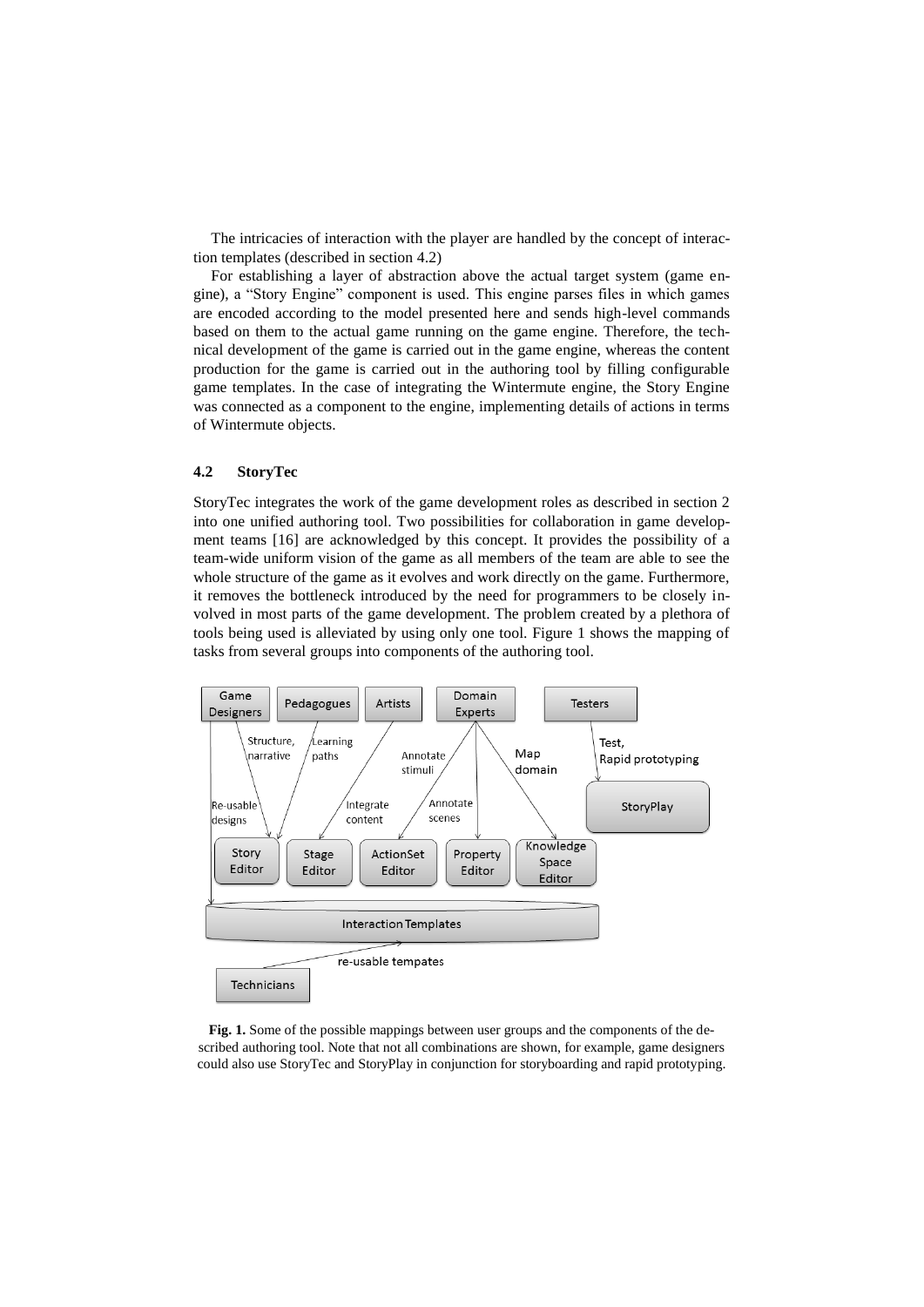The intricacies of interaction with the player are handled by the concept of interaction templates (described in section [4.2\)](#page-4-0)

For establishing a layer of abstraction above the actual target system (game engine), a "Story Engine" component is used. This engine parses files in which games are encoded according to the model presented here and sends high-level commands based on them to the actual game running on the game engine. Therefore, the technical development of the game is carried out in the game engine, whereas the content production for the game is carried out in the authoring tool by filling configurable game templates. In the case of integrating the Wintermute engine, the Story Engine was connected as a component to the engine, implementing details of actions in terms of Wintermute objects.

### <span id="page-4-0"></span>**4.2 StoryTec**

StoryTec integrates the work of the game development roles as described in section 2 into one unified authoring tool. Two possibilities for collaboration in game development teams [16] are acknowledged by this concept. It provides the possibility of a team-wide uniform vision of the game as all members of the team are able to see the whole structure of the game as it evolves and work directly on the game. Furthermore, it removes the bottleneck introduced by the need for programmers to be closely involved in most parts of the game development. The problem created by a plethora of tools being used is alleviated by using only one tool. Figure 1 shows the mapping of tasks from several groups into components of the authoring tool.



**Fig. 1.** Some of the possible mappings between user groups and the components of the described authoring tool. Note that not all combinations are shown, for example, game designers could also use StoryTec and StoryPlay in conjunction for storyboarding and rapid prototyping.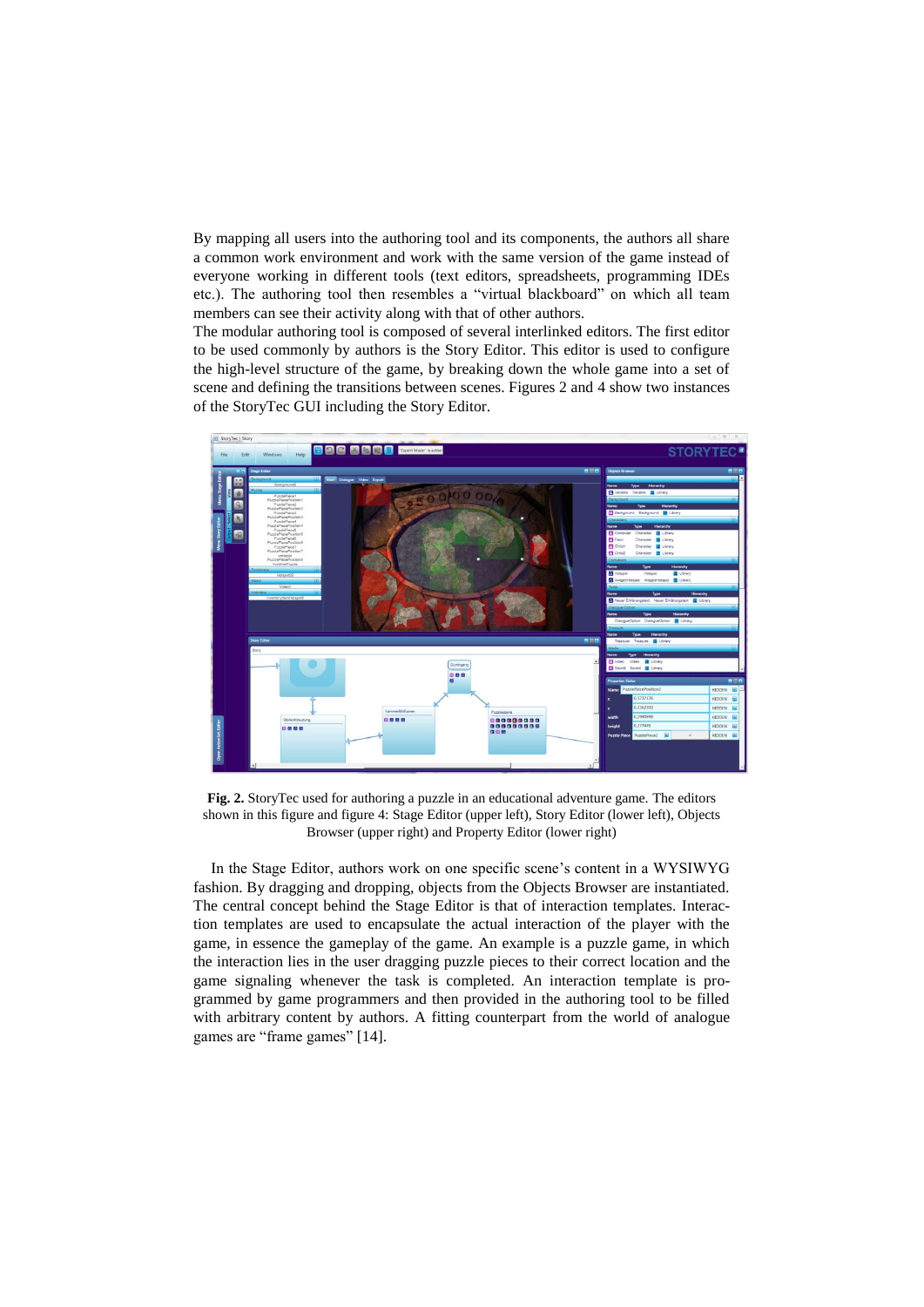By mapping all users into the authoring tool and its components, the authors all share a common work environment and work with the same version of the game instead of everyone working in different tools (text editors, spreadsheets, programming IDEs etc.). The authoring tool then resembles a "virtual blackboard" on which all team members can see their activity along with that of other authors.

The modular authoring tool is composed of several interlinked editors. The first editor to be used commonly by authors is the Story Editor. This editor is used to configure the high-level structure of the game, by breaking down the whole game into a set of scene and defining the transitions between scenes. Figures 2 and 4 show two instances of the StoryTec GUI including the Story Editor.



**Fig. 2.** StoryTec used for authoring a puzzle in an educational adventure game. The editors shown in this figure and figure 4: Stage Editor (upper left), Story Editor (lower left), Objects Browser (upper right) and Property Editor (lower right)

In the Stage Editor, authors work on one specific scene's content in a WYSIWYG fashion. By dragging and dropping, objects from the Objects Browser are instantiated. The central concept behind the Stage Editor is that of interaction templates. Interaction templates are used to encapsulate the actual interaction of the player with the game, in essence the gameplay of the game. An example is a puzzle game, in which the interaction lies in the user dragging puzzle pieces to their correct location and the game signaling whenever the task is completed. An interaction template is programmed by game programmers and then provided in the authoring tool to be filled with arbitrary content by authors. A fitting counterpart from the world of analogue games are "frame games" [14].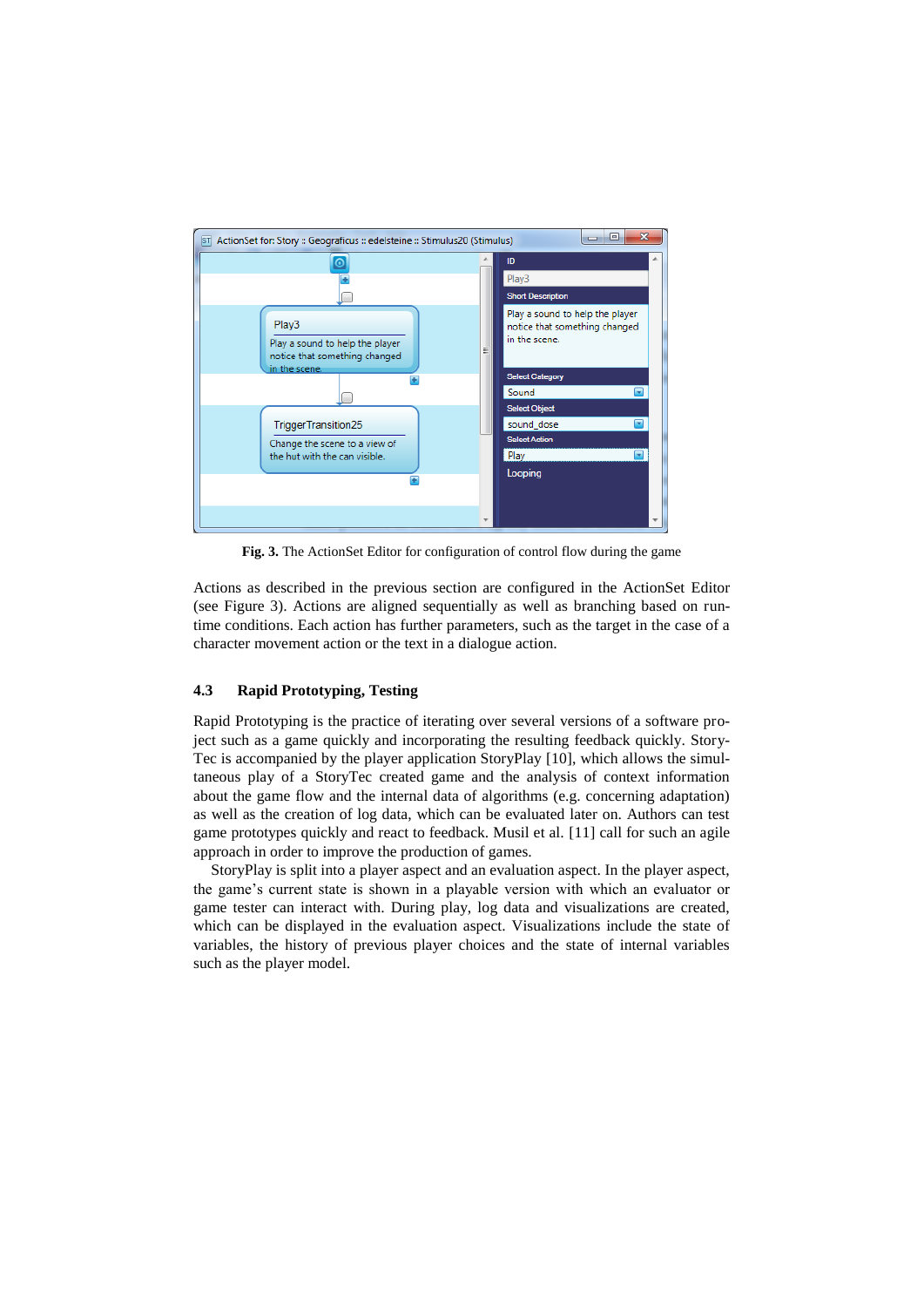

**Fig. 3.** The ActionSet Editor for configuration of control flow during the game

Actions as described in the previous section are configured in the ActionSet Editor (see Figure 3). Actions are aligned sequentially as well as branching based on runtime conditions. Each action has further parameters, such as the target in the case of a character movement action or the text in a dialogue action.

#### **4.3 Rapid Prototyping, Testing**

Rapid Prototyping is the practice of iterating over several versions of a software project such as a game quickly and incorporating the resulting feedback quickly. Story-Tec is accompanied by the player application StoryPlay [10], which allows the simultaneous play of a StoryTec created game and the analysis of context information about the game flow and the internal data of algorithms (e.g. concerning adaptation) as well as the creation of log data, which can be evaluated later on. Authors can test game prototypes quickly and react to feedback. Musil et al. [11] call for such an agile approach in order to improve the production of games.

StoryPlay is split into a player aspect and an evaluation aspect. In the player aspect, the game's current state is shown in a playable version with which an evaluator or game tester can interact with. During play, log data and visualizations are created, which can be displayed in the evaluation aspect. Visualizations include the state of variables, the history of previous player choices and the state of internal variables such as the player model.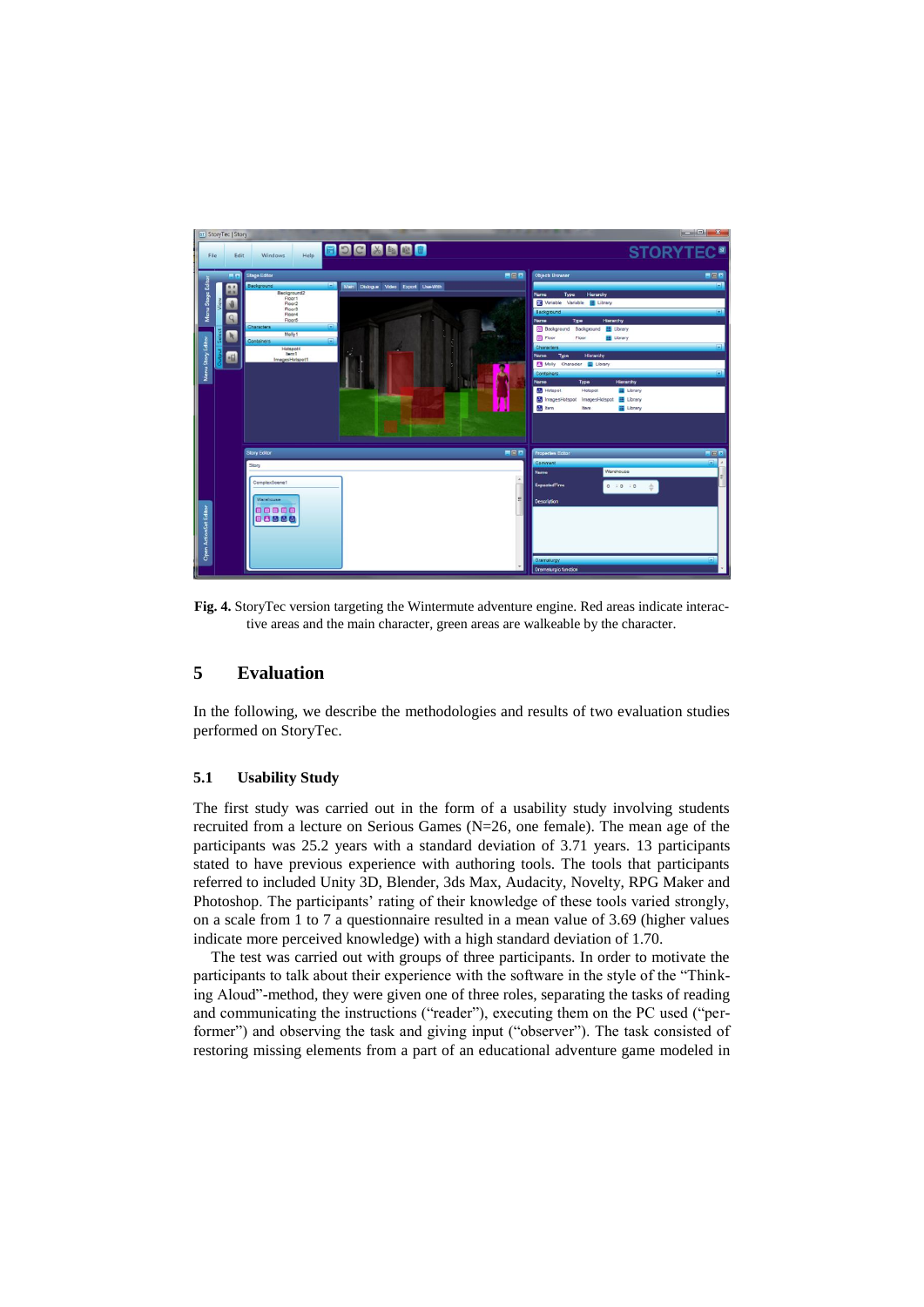

**Fig. 4.** StoryTec version targeting the Wintermute adventure engine. Red areas indicate interactive areas and the main character, green areas are walkeable by the character.

## <span id="page-7-0"></span>**5 Evaluation**

In the following, we describe the methodologies and results of two evaluation studies performed on StoryTec.

#### **5.1 Usability Study**

The first study was carried out in the form of a usability study involving students recruited from a lecture on Serious Games  $(N=26)$ , one female). The mean age of the participants was 25.2 years with a standard deviation of 3.71 years. 13 participants stated to have previous experience with authoring tools. The tools that participants referred to included Unity 3D, Blender, 3ds Max, Audacity, Novelty, RPG Maker and Photoshop. The participants' rating of their knowledge of these tools varied strongly, on a scale from 1 to 7 a questionnaire resulted in a mean value of 3.69 (higher values indicate more perceived knowledge) with a high standard deviation of 1.70.

The test was carried out with groups of three participants. In order to motivate the participants to talk about their experience with the software in the style of the "Thinking Aloud"-method, they were given one of three roles, separating the tasks of reading and communicating the instructions ("reader"), executing them on the PC used ("performer") and observing the task and giving input ("observer"). The task consisted of restoring missing elements from a part of an educational adventure game modeled in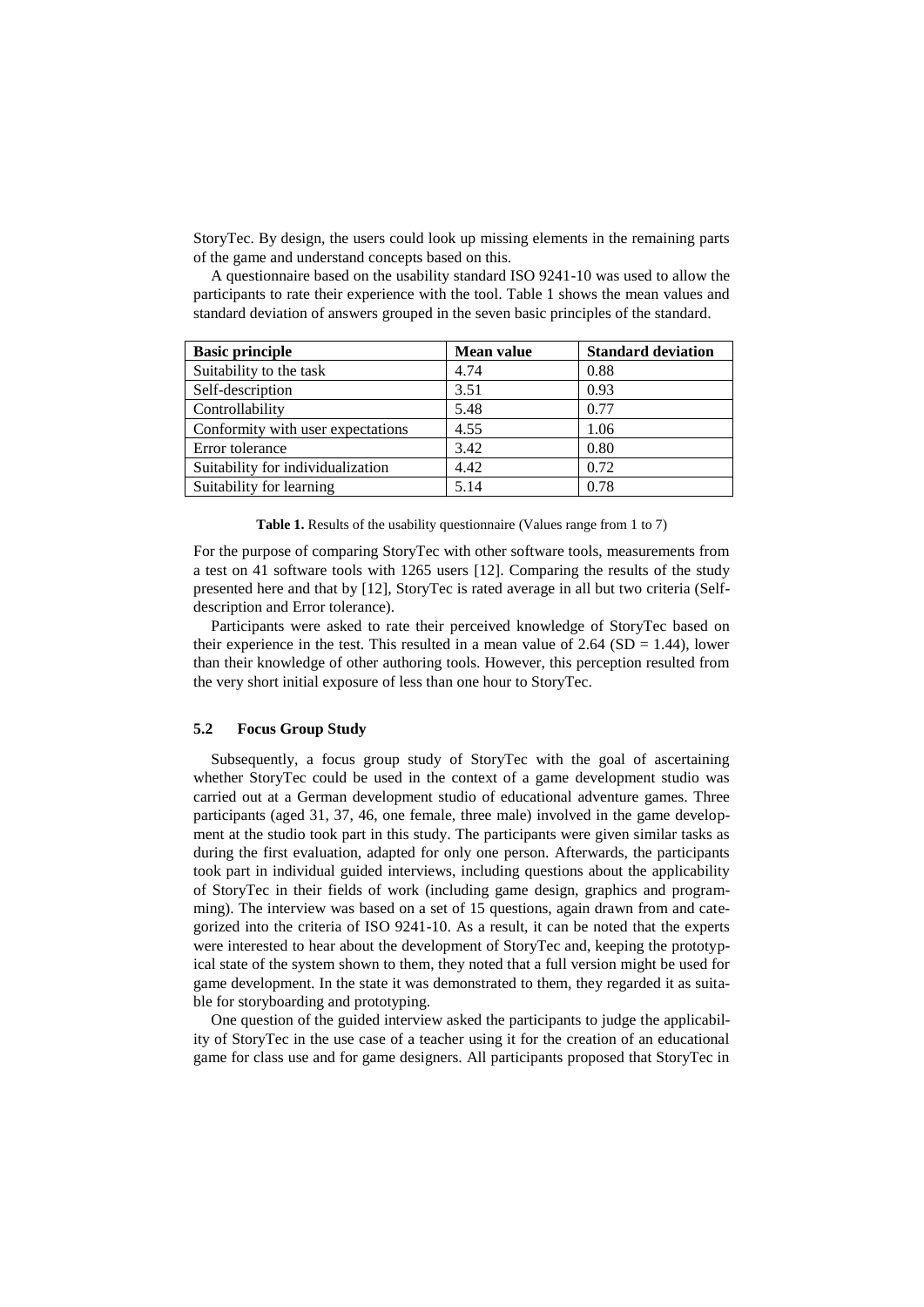StoryTec. By design, the users could look up missing elements in the remaining parts of the game and understand concepts based on this.

A questionnaire based on the usability standard ISO 9241-10 was used to allow the participants to rate their experience with the tool. Table 1 shows the mean values and standard deviation of answers grouped in the seven basic principles of the standard.

| <b>Basic principle</b>            | <b>Mean value</b> | <b>Standard deviation</b> |
|-----------------------------------|-------------------|---------------------------|
| Suitability to the task           | 4.74              | 0.88                      |
| Self-description                  | 3.51              | 0.93                      |
| Controllability                   | 5.48              | 0.77                      |
| Conformity with user expectations | 4.55              | 1.06                      |
| Error tolerance                   | 3.42              | 0.80                      |
| Suitability for individualization | 4.42              | 0.72                      |
| Suitability for learning          | 5.14              | 0.78                      |

**Table 1.** Results of the usability questionnaire (Values range from 1 to 7)

For the purpose of comparing StoryTec with other software tools, measurements from a test on 41 software tools with 1265 users [12]. Comparing the results of the study presented here and that by [12], StoryTec is rated average in all but two criteria (Selfdescription and Error tolerance).

Participants were asked to rate their perceived knowledge of StoryTec based on their experience in the test. This resulted in a mean value of  $2.64$  (SD = 1.44), lower than their knowledge of other authoring tools. However, this perception resulted from the very short initial exposure of less than one hour to StoryTec.

#### **5.2 Focus Group Study**

Subsequently, a focus group study of StoryTec with the goal of ascertaining whether StoryTec could be used in the context of a game development studio was carried out at a German development studio of educational adventure games. Three participants (aged 31, 37, 46, one female, three male) involved in the game development at the studio took part in this study. The participants were given similar tasks as during the first evaluation, adapted for only one person. Afterwards, the participants took part in individual guided interviews, including questions about the applicability of StoryTec in their fields of work (including game design, graphics and programming). The interview was based on a set of 15 questions, again drawn from and categorized into the criteria of ISO 9241-10. As a result, it can be noted that the experts were interested to hear about the development of StoryTec and, keeping the prototypical state of the system shown to them, they noted that a full version might be used for game development. In the state it was demonstrated to them, they regarded it as suitable for storyboarding and prototyping.

One question of the guided interview asked the participants to judge the applicability of StoryTec in the use case of a teacher using it for the creation of an educational game for class use and for game designers. All participants proposed that StoryTec in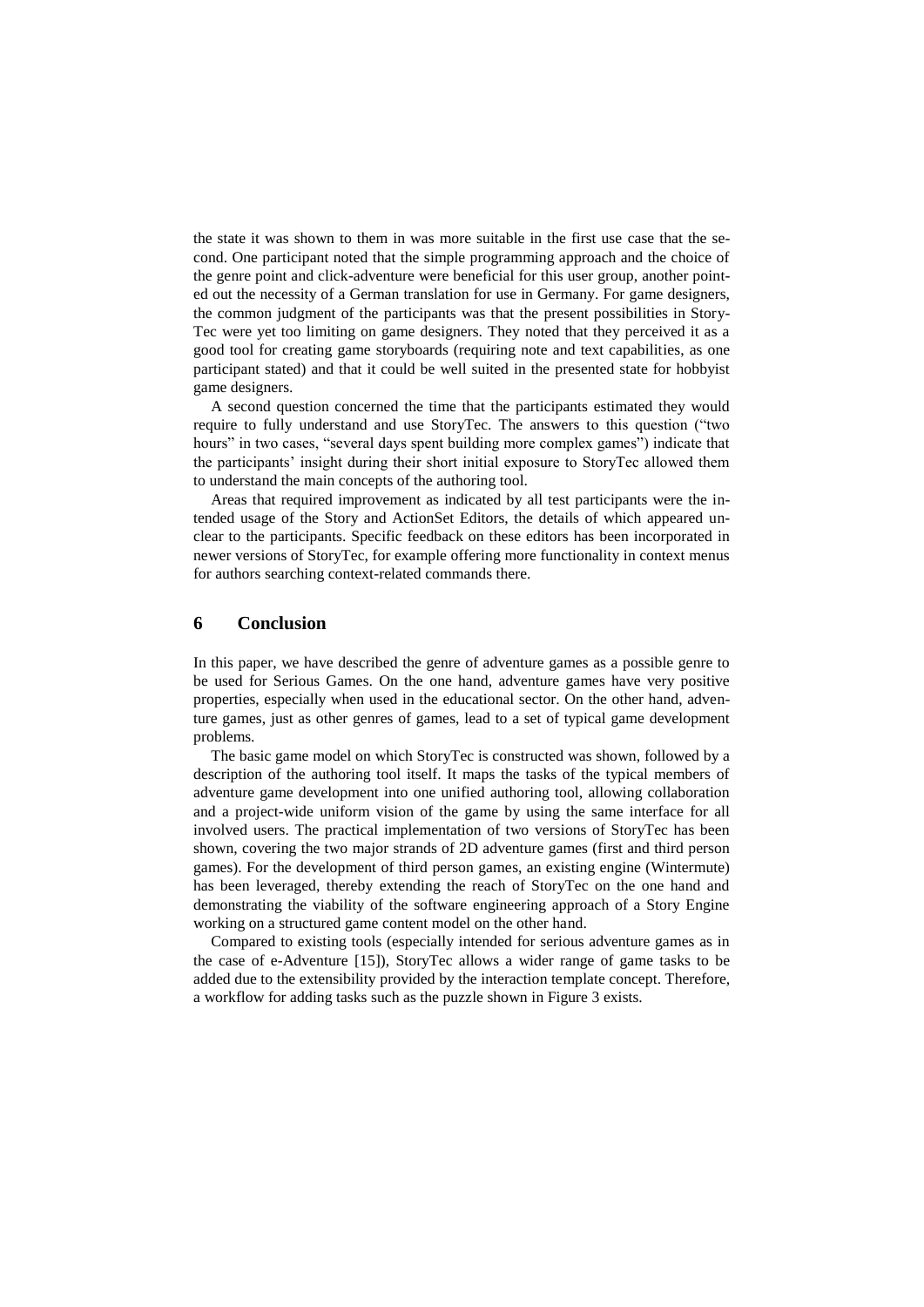the state it was shown to them in was more suitable in the first use case that the second. One participant noted that the simple programming approach and the choice of the genre point and click-adventure were beneficial for this user group, another pointed out the necessity of a German translation for use in Germany. For game designers, the common judgment of the participants was that the present possibilities in Story-Tec were yet too limiting on game designers. They noted that they perceived it as a good tool for creating game storyboards (requiring note and text capabilities, as one participant stated) and that it could be well suited in the presented state for hobbyist game designers.

A second question concerned the time that the participants estimated they would require to fully understand and use StoryTec. The answers to this question ("two hours" in two cases, "several days spent building more complex games") indicate that the participants' insight during their short initial exposure to StoryTec allowed them to understand the main concepts of the authoring tool.

Areas that required improvement as indicated by all test participants were the intended usage of the Story and ActionSet Editors, the details of which appeared unclear to the participants. Specific feedback on these editors has been incorporated in newer versions of StoryTec, for example offering more functionality in context menus for authors searching context-related commands there.

### **6 Conclusion**

In this paper, we have described the genre of adventure games as a possible genre to be used for Serious Games. On the one hand, adventure games have very positive properties, especially when used in the educational sector. On the other hand, adventure games, just as other genres of games, lead to a set of typical game development problems.

The basic game model on which StoryTec is constructed was shown, followed by a description of the authoring tool itself. It maps the tasks of the typical members of adventure game development into one unified authoring tool, allowing collaboration and a project-wide uniform vision of the game by using the same interface for all involved users. The practical implementation of two versions of StoryTec has been shown, covering the two major strands of 2D adventure games (first and third person games). For the development of third person games, an existing engine (Wintermute) has been leveraged, thereby extending the reach of StoryTec on the one hand and demonstrating the viability of the software engineering approach of a Story Engine working on a structured game content model on the other hand.

Compared to existing tools (especially intended for serious adventure games as in the case of e-Adventure [15]), StoryTec allows a wider range of game tasks to be added due to the extensibility provided by the interaction template concept. Therefore, a workflow for adding tasks such as the puzzle shown in Figure 3 exists.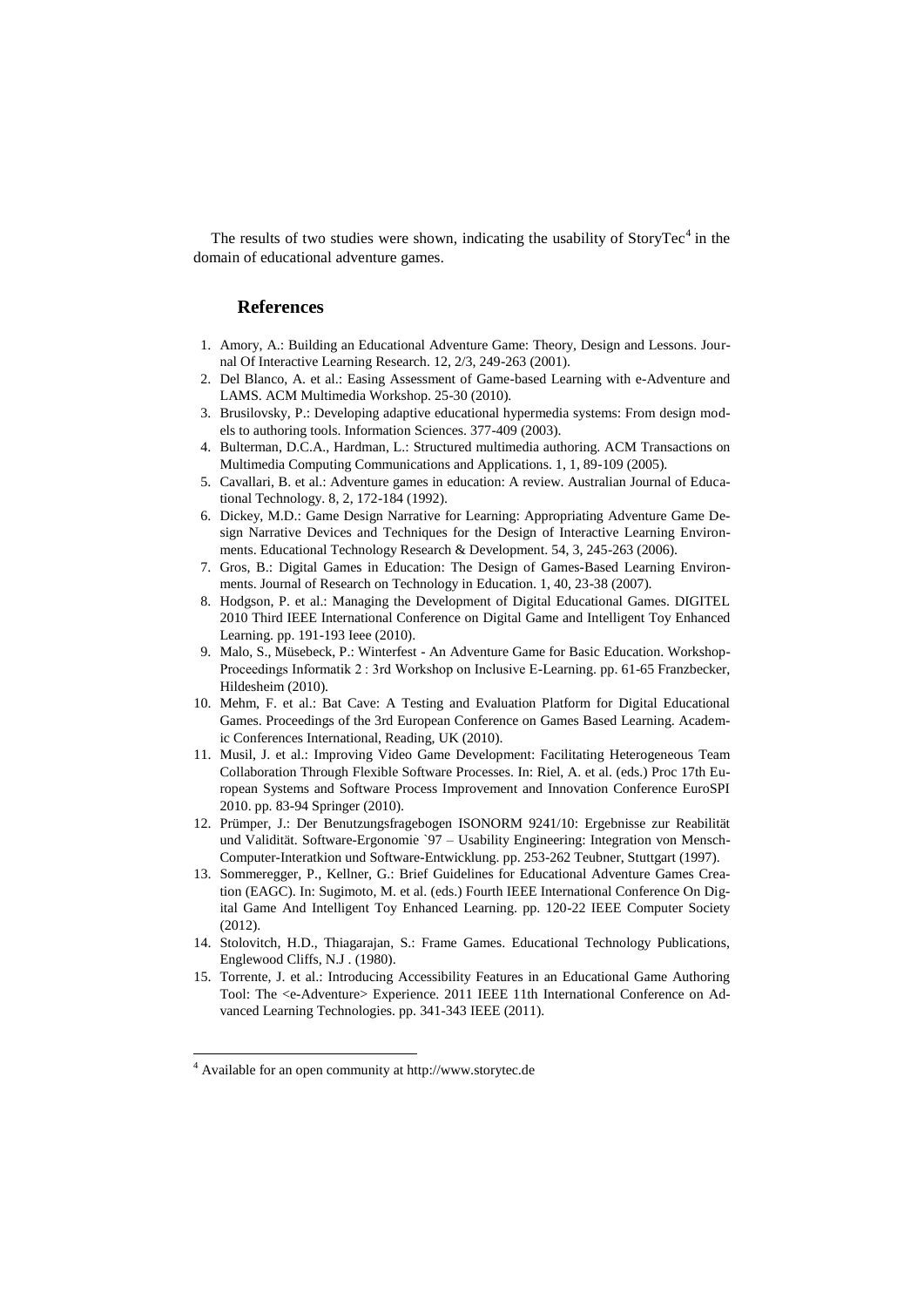The results of two studies were shown, indicating the usability of  $StoryTec<sup>4</sup>$  in the domain of educational adventure games.

#### **References**

- 1. Amory, A.: Building an Educational Adventure Game: Theory, Design and Lessons. Journal Of Interactive Learning Research. 12, 2/3, 249-263 (2001).
- 2. Del Blanco, A. et al.: Easing Assessment of Game-based Learning with e-Adventure and LAMS. ACM Multimedia Workshop. 25-30 (2010).
- 3. Brusilovsky, P.: Developing adaptive educational hypermedia systems: From design models to authoring tools. Information Sciences. 377-409 (2003).
- 4. Bulterman, D.C.A., Hardman, L.: Structured multimedia authoring. ACM Transactions on Multimedia Computing Communications and Applications. 1, 1, 89-109 (2005).
- 5. Cavallari, B. et al.: Adventure games in education: A review. Australian Journal of Educational Technology. 8, 2, 172-184 (1992).
- 6. Dickey, M.D.: Game Design Narrative for Learning: Appropriating Adventure Game Design Narrative Devices and Techniques for the Design of Interactive Learning Environments. Educational Technology Research & Development. 54, 3, 245-263 (2006).
- 7. Gros, B.: Digital Games in Education: The Design of Games-Based Learning Environments. Journal of Research on Technology in Education. 1, 40, 23-38 (2007).
- 8. Hodgson, P. et al.: Managing the Development of Digital Educational Games. DIGITEL 2010 Third IEEE International Conference on Digital Game and Intelligent Toy Enhanced Learning. pp. 191-193 Ieee (2010).
- 9. Malo, S., Müsebeck, P.: Winterfest An Adventure Game for Basic Education. Workshop-Proceedings Informatik 2 : 3rd Workshop on Inclusive E-Learning. pp. 61-65 Franzbecker, Hildesheim (2010).
- 10. Mehm, F. et al.: Bat Cave: A Testing and Evaluation Platform for Digital Educational Games. Proceedings of the 3rd European Conference on Games Based Learning. Academic Conferences International, Reading, UK (2010).
- 11. Musil, J. et al.: Improving Video Game Development: Facilitating Heterogeneous Team Collaboration Through Flexible Software Processes. In: Riel, A. et al. (eds.) Proc 17th European Systems and Software Process Improvement and Innovation Conference EuroSPI 2010. pp. 83-94 Springer (2010).
- 12. Prümper, J.: Der Benutzungsfragebogen ISONORM 9241/10: Ergebnisse zur Reabilität und Validität. Software-Ergonomie `97 – Usability Engineering: Integration von Mensch-Computer-Interatkion und Software-Entwicklung. pp. 253-262 Teubner, Stuttgart (1997).
- 13. Sommeregger, P., Kellner, G.: Brief Guidelines for Educational Adventure Games Creation (EAGC). In: Sugimoto, M. et al. (eds.) Fourth IEEE International Conference On Digital Game And Intelligent Toy Enhanced Learning. pp. 120-22 IEEE Computer Society (2012).
- 14. Stolovitch, H.D., Thiagarajan, S.: Frame Games. Educational Technology Publications, Englewood Cliffs, N.J . (1980).
- 15. Torrente, J. et al.: Introducing Accessibility Features in an Educational Game Authoring Tool: The <e-Adventure> Experience. 2011 IEEE 11th International Conference on Advanced Learning Technologies. pp. 341-343 IEEE (2011).

 $\overline{\phantom{a}}$ 

<sup>4</sup> Available for an open community at http://www.storytec.de